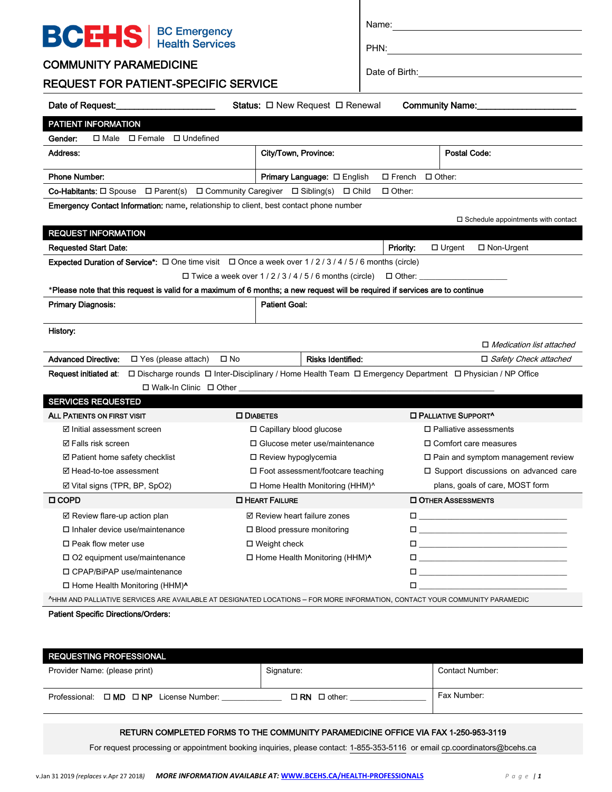| <b>BCEHS</b>   BC Emergency                                                                                                                                                           |                                                  |                                                                                                                                                                                                                                 |  |
|---------------------------------------------------------------------------------------------------------------------------------------------------------------------------------------|--------------------------------------------------|---------------------------------------------------------------------------------------------------------------------------------------------------------------------------------------------------------------------------------|--|
|                                                                                                                                                                                       |                                                  | PHN:                                                                                                                                                                                                                            |  |
| <b>COMMUNITY PARAMEDICINE</b>                                                                                                                                                         |                                                  |                                                                                                                                                                                                                                 |  |
| <b>REQUEST FOR PATIENT-SPECIFIC SERVICE</b>                                                                                                                                           |                                                  |                                                                                                                                                                                                                                 |  |
|                                                                                                                                                                                       | <b>Status:</b> $\Box$ New Request $\Box$ Renewal | Community Name:                                                                                                                                                                                                                 |  |
| PATIENT INFORMATION                                                                                                                                                                   |                                                  |                                                                                                                                                                                                                                 |  |
| $\Box$ Male $\Box$ Female $\Box$ Undefined<br>Gender:                                                                                                                                 |                                                  |                                                                                                                                                                                                                                 |  |
| Address:                                                                                                                                                                              | City/Town, Province:                             | Postal Code:                                                                                                                                                                                                                    |  |
| <b>Phone Number:</b>                                                                                                                                                                  | <b>Primary Language:</b> □ English               | $\Box$ French $\Box$ Other:                                                                                                                                                                                                     |  |
| <b>Co-Habitants:</b> $\Box$ Spouse $\Box$ Parent(s) $\Box$ Community Caregiver $\Box$ Sibling(s) $\Box$ Child                                                                         |                                                  | $\Box$ Other:                                                                                                                                                                                                                   |  |
| Emergency Contact Information: name, relationship to client, best contact phone number                                                                                                |                                                  |                                                                                                                                                                                                                                 |  |
|                                                                                                                                                                                       |                                                  | $\square$ Schedule appointments with contact                                                                                                                                                                                    |  |
| <b>REQUEST INFORMATION</b>                                                                                                                                                            |                                                  |                                                                                                                                                                                                                                 |  |
| <b>Requested Start Date:</b>                                                                                                                                                          |                                                  | □ Non-Urgent<br><b>Priority:</b><br>$\Box$ Urgent                                                                                                                                                                               |  |
| <b>Expected Duration of Service<sup>*</sup>:</b> $\Box$ One time visit $\Box$ Once a week over 1/2/3/4/5/6 months (circle)                                                            |                                                  |                                                                                                                                                                                                                                 |  |
|                                                                                                                                                                                       |                                                  |                                                                                                                                                                                                                                 |  |
| *Please note that this request is valid for a maximum of 6 months; a new request will be required if services are to continue                                                         |                                                  |                                                                                                                                                                                                                                 |  |
| <b>Primary Diagnosis:</b>                                                                                                                                                             | <b>Patient Goal:</b>                             |                                                                                                                                                                                                                                 |  |
| History:                                                                                                                                                                              |                                                  |                                                                                                                                                                                                                                 |  |
|                                                                                                                                                                                       |                                                  | $\Box$ Medication list attached                                                                                                                                                                                                 |  |
| <b>Advanced Directive:</b><br>□ Yes (please attach) □ No                                                                                                                              | <b>Risks Identified:</b>                         | □ Safety Check attached                                                                                                                                                                                                         |  |
|                                                                                                                                                                                       |                                                  |                                                                                                                                                                                                                                 |  |
|                                                                                                                                                                                       |                                                  |                                                                                                                                                                                                                                 |  |
| <b>SERVICES REQUESTED</b>                                                                                                                                                             |                                                  |                                                                                                                                                                                                                                 |  |
| ALL PATIENTS ON FIRST VISIT                                                                                                                                                           | <b>DIABETES</b>                                  | <b>ID PALLIATIVE SUPPORT^</b>                                                                                                                                                                                                   |  |
| <b>☑</b> Initial assessment screen                                                                                                                                                    | □ Capillary blood glucose                        | $\Box$ Palliative assessments                                                                                                                                                                                                   |  |
| <b>☑ Falls risk screen</b>                                                                                                                                                            | $\Box$ Glucose meter use/maintenance             | $\Box$ Comfort care measures                                                                                                                                                                                                    |  |
| $\boxtimes$ Patient home safety checklist                                                                                                                                             | □ Review hypoglycemia                            | $\Box$ Pain and symptom management review                                                                                                                                                                                       |  |
| ☑ Head-to-toe assessment                                                                                                                                                              | $\Box$ Foot assessment/footcare teaching         | $\Box$ Support discussions on advanced care                                                                                                                                                                                     |  |
| ☑ Vital signs (TPR, BP, SpO2)                                                                                                                                                         | □ Home Health Monitoring (HHM)^                  | plans, goals of care, MOST form                                                                                                                                                                                                 |  |
| $\Box$ COPD                                                                                                                                                                           | <b>O HEART FAILURE</b>                           | <b>OTHER ASSESSMENTS</b>                                                                                                                                                                                                        |  |
| ☑ Review flare-up action plan                                                                                                                                                         | ☑ Review heart failure zones                     |                                                                                                                                                                                                                                 |  |
| $\Box$ Inhaler device use/maintenance                                                                                                                                                 | □ Blood pressure monitoring                      | $\Box$ . The contract of the contract of the contract of the contract of the contract of the contract of the contract of the contract of the contract of the contract of the contract of the contract of the contract of the co |  |
| $\Box$ Peak flow meter use                                                                                                                                                            | □ Weight check                                   |                                                                                                                                                                                                                                 |  |
| □ O2 equipment use/maintenance                                                                                                                                                        | □ Home Health Monitoring (HHM)^                  |                                                                                                                                                                                                                                 |  |
| □ CPAP/BiPAP use/maintenance                                                                                                                                                          |                                                  | $\Box$ . The contract of the contract of the contract of the contract of the contract of the contract of the contract of the contract of the contract of the contract of the contract of the contract of the contract of the co |  |
| □ Home Health Monitoring (HHM)^                                                                                                                                                       |                                                  | $\Box$ and the contract of the contract of the contract of the contract of the contract of the contract of the contract of the contract of the contract of the contract of the contract of the contract of the contract of the  |  |
| <sup>A</sup> HHM AND PALLIATIVE SERVICES ARE AVAILABLE AT DESIGNATED LOCATIONS - FOR MORE INFORMATION, CONTACT YOUR COMMUNITY PARAMEDIC<br><b>Patient Specific Directions/Orders:</b> |                                                  |                                                                                                                                                                                                                                 |  |

| <b>REQUESTING PROFESSIONAL</b>                       |                         |                 |
|------------------------------------------------------|-------------------------|-----------------|
| Provider Name: (please print)                        | Signature:              | Contact Number: |
|                                                      |                         |                 |
| Professional: $\Box$ MD $\Box$ NP<br>License Number: | $\Box$ RN $\Box$ other: | Fax Number:     |

#### RETURN COMPLETED FORMS TO THE COMMUNITY PARAMEDICINE OFFICE VIA FAX 1-250-953-3119

For request processing or appointment booking inquiries, please contact: 1-855-353-5116 or email cp.coordinators@bcehs.ca